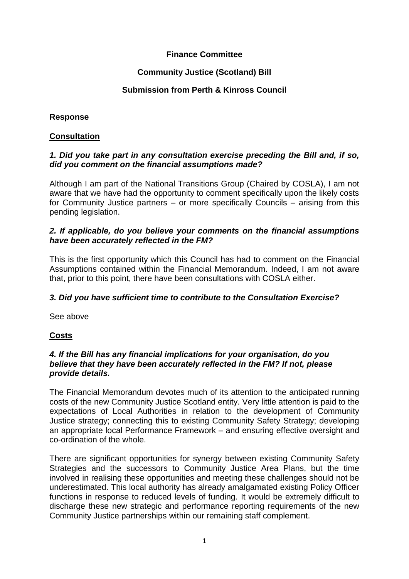# **Finance Committee**

# **Community Justice (Scotland) Bill**

## **Submission from Perth & Kinross Council**

# **Response**

## **Consultation**

### *1. Did you take part in any consultation exercise preceding the Bill and, if so, did you comment on the financial assumptions made?*

Although I am part of the National Transitions Group (Chaired by COSLA), I am not aware that we have had the opportunity to comment specifically upon the likely costs for Community Justice partners – or more specifically Councils – arising from this pending legislation.

### *2. If applicable, do you believe your comments on the financial assumptions have been accurately reflected in the FM?*

This is the first opportunity which this Council has had to comment on the Financial Assumptions contained within the Financial Memorandum. Indeed, I am not aware that, prior to this point, there have been consultations with COSLA either.

## *3. Did you have sufficient time to contribute to the Consultation Exercise?*

See above

## **Costs**

### *4. If the Bill has any financial implications for your organisation, do you believe that they have been accurately reflected in the FM? If not, please provide details.*

The Financial Memorandum devotes much of its attention to the anticipated running costs of the new Community Justice Scotland entity. Very little attention is paid to the expectations of Local Authorities in relation to the development of Community Justice strategy; connecting this to existing Community Safety Strategy; developing an appropriate local Performance Framework – and ensuring effective oversight and co-ordination of the whole.

There are significant opportunities for synergy between existing Community Safety Strategies and the successors to Community Justice Area Plans, but the time involved in realising these opportunities and meeting these challenges should not be underestimated. This local authority has already amalgamated existing Policy Officer functions in response to reduced levels of funding. It would be extremely difficult to discharge these new strategic and performance reporting requirements of the new Community Justice partnerships within our remaining staff complement.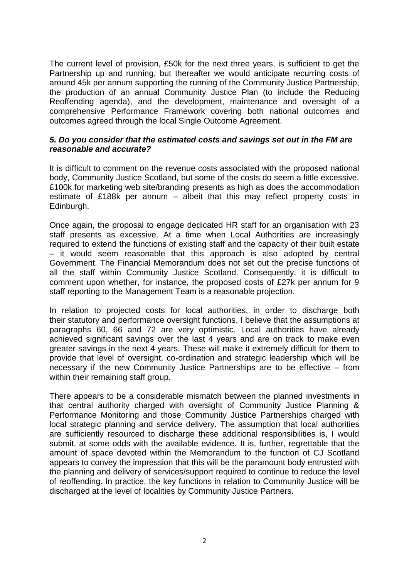The current level of provision, £50k for the next three years, is sufficient to get the Partnership up and running, but thereafter we would anticipate recurring costs of around 45k per annum supporting the running of the Community Justice Partnership, the production of an annual Community Justice Plan (to include the Reducing Reoffending agenda), and the development, maintenance and oversight of a comprehensive Performance Framework covering both national outcomes and outcomes agreed through the local Single Outcome Agreement.

#### *5. Do you consider that the estimated costs and savings set out in the FM are reasonable and accurate?*

It is difficult to comment on the revenue costs associated with the proposed national body, Community Justice Scotland, but some of the costs do seem a little excessive. £100k for marketing web site/branding presents as high as does the accommodation estimate of £188k per annum – albeit that this may reflect property costs in Edinburgh.

Once again, the proposal to engage dedicated HR staff for an organisation with 23 staff presents as excessive. At a time when Local Authorities are increasingly required to extend the functions of existing staff and the capacity of their built estate – it would seem reasonable that this approach is also adopted by central Government. The Financial Memorandum does not set out the precise functions of all the staff within Community Justice Scotland. Consequently, it is difficult to comment upon whether, for instance, the proposed costs of £27k per annum for 9 staff reporting to the Management Team is a reasonable projection.

In relation to projected costs for local authorities, in order to discharge both their statutory and performance oversight functions, I believe that the assumptions at paragraphs 60, 66 and 72 are very optimistic. Local authorities have already achieved significant savings over the last 4 years and are on track to make even greater savings in the next 4 years. These will make it extremely difficult for them to provide that level of oversight, co-ordination and strategic leadership which will be necessary if the new Community Justice Partnerships are to be effective – from within their remaining staff group.

There appears to be a considerable mismatch between the planned investments in that central authority charged with oversight of Community Justice Planning & Performance Monitoring and those Community Justice Partnerships charged with local strategic planning and service delivery. The assumption that local authorities are sufficiently resourced to discharge these additional responsibilities is, I would submit, at some odds with the available evidence. It is, further, regrettable that the amount of space devoted within the Memorandum to the function of CJ Scotland appears to convey the impression that this will be the paramount body entrusted with the planning and delivery of services/support required to continue to reduce the level of reoffending. In practice, the key functions in relation to Community Justice will be discharged at the level of localities by Community Justice Partners.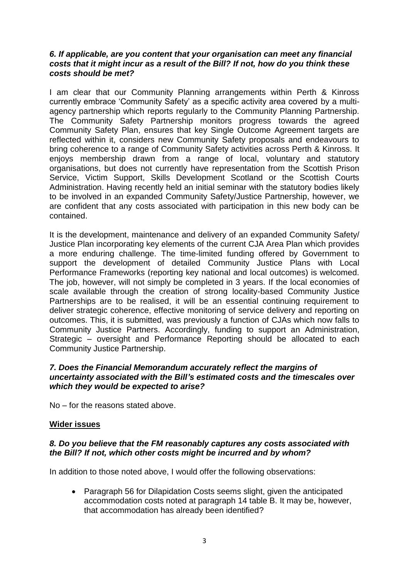#### *6. If applicable, are you content that your organisation can meet any financial costs that it might incur as a result of the Bill? If not, how do you think these costs should be met?*

I am clear that our Community Planning arrangements within Perth & Kinross currently embrace 'Community Safety' as a specific activity area covered by a multiagency partnership which reports regularly to the Community Planning Partnership. The Community Safety Partnership monitors progress towards the agreed Community Safety Plan, ensures that key Single Outcome Agreement targets are reflected within it, considers new Community Safety proposals and endeavours to bring coherence to a range of Community Safety activities across Perth & Kinross. It enjoys membership drawn from a range of local, voluntary and statutory organisations, but does not currently have representation from the Scottish Prison Service, Victim Support, Skills Development Scotland or the Scottish Courts Administration. Having recently held an initial seminar with the statutory bodies likely to be involved in an expanded Community Safety/Justice Partnership, however, we are confident that any costs associated with participation in this new body can be contained.

It is the development, maintenance and delivery of an expanded Community Safety/ Justice Plan incorporating key elements of the current CJA Area Plan which provides a more enduring challenge. The time-limited funding offered by Government to support the development of detailed Community Justice Plans with Local Performance Frameworks (reporting key national and local outcomes) is welcomed. The job, however, will not simply be completed in 3 years. If the local economies of scale available through the creation of strong locality-based Community Justice Partnerships are to be realised, it will be an essential continuing requirement to deliver strategic coherence, effective monitoring of service delivery and reporting on outcomes. This, it is submitted, was previously a function of CJAs which now falls to Community Justice Partners. Accordingly, funding to support an Administration, Strategic – oversight and Performance Reporting should be allocated to each Community Justice Partnership.

#### *7. Does the Financial Memorandum accurately reflect the margins of uncertainty associated with the Bill's estimated costs and the timescales over which they would be expected to arise?*

No – for the reasons stated above.

#### **Wider issues**

#### *8. Do you believe that the FM reasonably captures any costs associated with the Bill? If not, which other costs might be incurred and by whom?*

In addition to those noted above, I would offer the following observations:

• Paragraph 56 for Dilapidation Costs seems slight, given the anticipated accommodation costs noted at paragraph 14 table B. It may be, however, that accommodation has already been identified?